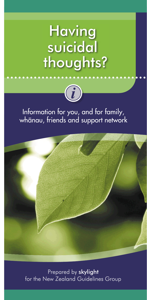# **Having** suicidal thoughts?



### Information for you, and for family, whānau, friends and support network



Prepared by skylight for the New Zealand Guidelines Group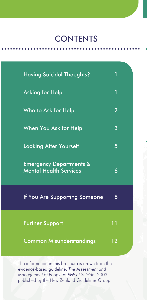### **CONTENTS**

| <b>Having Suicidal Thoughts?</b>                                    | 1              |  |
|---------------------------------------------------------------------|----------------|--|
| <b>Asking for Help</b>                                              | 1              |  |
| Who to Ask for Help                                                 | $\overline{2}$ |  |
| When You Ask for Help                                               | 3              |  |
| <b>Looking After Yourself</b>                                       | 5              |  |
| <b>Emergency Departments &amp;</b><br><b>Mental Health Services</b> | 6              |  |
| If You Are Supporting Someone                                       | 8              |  |
| <b>Further Support</b>                                              | 11             |  |
| <b>Common Misunderstandings</b>                                     | 12             |  |

The information in this brochure is drawn from the evidence-based guideline, *The Assessment and Management of People at Risk of Suicide*, 2003, published by the New Zealand Guidelines Group.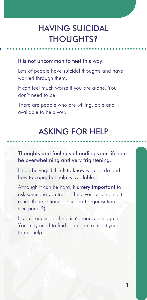### HAVING SUICIDAL THOUGHTS?

#### It is not uncommon to feel this way.

Lots of people have suicidal thoughts and have worked through them.

It can feel much worse if you are alone. You don't need to be.

There are people who are willing, able and available to help you.

### ASKING FOR HELP

#### Thoughts and feelings of ending your life can be overwhelming and very frightening.

It can be very difficult to know what to do and how to cope, but help is available.

Although it can be hard, it's very important to ask someone you trust to help you or to contact a health practitioner or support organisation (see page 2).

If your request for help isn't heard, ask again. You may need to find someone to assist you to get help.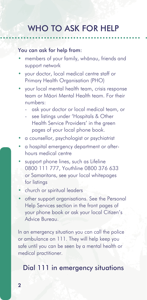### WHO TO ASK FOR HELP

#### You can ask for help from:

- members of your family, whänau, friends and support network
- your doctor, local medical centre staff or Primary Health Organisation (PHO)
- your local mental health team, crisis response team or Mäori Mental Health team. For their numbers:
	- ask your doctor or local medical team, or
	- see listings under 'Hospitals & Other Health Service Providers' in the green pages of your local phone book.
- a counsellor, psychologist or psychiatrist
- a hospital emergency department or afterhours medical centre
- support phone lines, such as Lifeline 0800 111 777, Youthline 0800 376 633 or Samaritans, see your local whitepages for listings
- church or spiritual leaders
- other support organisations. See the Personal Help Services section in the front pages of your phone book or ask your local Citizen's Advice Bureau.

In an emergency situation you can call the police or ambulance on 111. They will help keep you safe until you can be seen by a mental health or medical practitioner.

### Dial 111 in emergency situations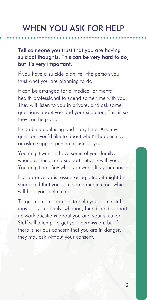### WHEN YOU ASK FOR HELP

Tell someone you trust that you are having suicidal thoughts. This can be very hard to do, but it's very important.

If you have a suicide plan, tell the person you trust what you are planning to do.

It can be arranged for a medical or mental health professional to spend some time with you. They will listen to you in private, and ask some questions about you and your situation. This is so they can help you.

It can be a confusing and scary time. Ask any questions you'd like to about what's happening, or ask a support person to ask for you.

You might want to have some of your family, whänau, friends and support network with you. You might not. Say what you want. It's your choice.

If you are very distressed or agitated, it might be suggested that you take some medication, which will help you feel calmer.

To get more information to help you, some staff may ask your family, whänau, friends and support network questions about you and your situation. Staff will attempt to get your permission, but if there is serious concern that you are in danger, they may ask without your consent.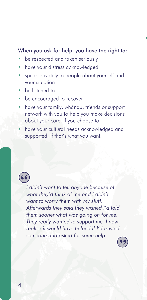#### When you ask for help, you have the right to:

- be respected and taken seriously
- have your distress acknowledged
- speak privately to people about yourself and your situation
- be listened to
- be encouraged to recover
- have your family, whänau, friends or support network with you to help you make decisions about your care, if you choose to
- have your cultural needs acknowledged and supported, if that's what you want.

*I didn't want to tell anyone because of what they'd think of me and I didn't want to worry them with my stuff. Afterwards they said they wished I'd told them sooner what was going on for me. They really wanted to support me. I now realise it would have helped if I'd trusted someone and asked for some help.*

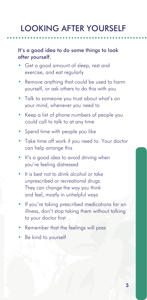## LOOKING AFTER YOURSELF

#### It's a good idea to do some things to look after yourself.

- Get a good amount of sleep, rest and exercise, and eat regularly
- Remove anything that could be used to harm yourself, or ask others to do this with you
- Talk to someone you trust about what's on your mind, whenever you need to
- Keep a list of phone numbers of people you could call to talk to at any time
- Spend time with people you like
- Take time off work if you need to. Your doctor can help arrange this
- It's a good idea to avoid driving when you're feeling distressed
- It is best not to drink alcohol or take unprescribed or recreational drugs. They can change the way you think and feel, mostly in unhelpful ways
- If you're taking prescribed medications for an illness, don't stop taking them without talking to your doctor first
- Remember that the feelings will pass
- Be kind to yourself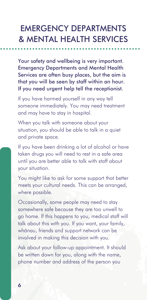### EMERGENCY DEPARTMENTS & MENTAL HEALTH SERVICES

Your safety and wellbeing is very important. Emergency Departments and Mental Health Services are often busy places, but the aim is that you will be seen by staff within an hour. If you need urgent help tell the receptionist.

If you have harmed yourself in any way tell someone immediately. You may need treatment and may have to stay in hospital.

When you talk with someone about your situation, you should be able to talk in a quiet and private space.

If you have been drinking a lot of alcohol or have taken drugs you will need to rest in a safe area until you are better able to talk with staff about your situation.

You might like to ask for some support that better meets your cultural needs. This can be arranged, where possible.

Occasionally, some people may need to stay somewhere safe because they are too unwell to go home. If this happens to you, medical staff will talk about this with you. If you want, your family, whänau, friends and support network can be involved in making this decision with you.

Ask about your follow-up appointment. It should be written down for you, along with the name, phone number and address of the person you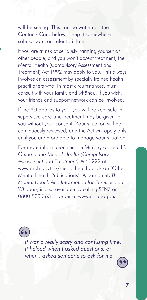will be seeing. This can be written on the Contacts Card below. Keep it somewhere safe so you can refer to it later.

If you are at risk of seriously harming yourself or other people, and you won't accept treatment, the Mental Health (Compulsory Assessment and Treatment) Act 1992 may apply to you. This always involves an assessment by specially trained health practitioners who, in most circumstances, must consult with your family and whänau. If you wish, your friends and support network can be involved.

If the Act applies to you, you will be kept safe in supervised care and treatment may be given to you without your consent. Your situation will be continuously reviewed, and the Act will apply only until you are more able to manage your situation.

For more information see the Ministry of Health's *Guide to the Mental Health (Compulsory Assessment and Treatment) Act 1992* at www.moh.govt.nz/mentalhealth, click on 'Other Mental Health Publications'. A pamphlet, *The Mental Health Act: Information for Families and Whänau*, is also available by calling SFNZ on 0800 500 363 or order at www.sfnat.org.nz.

*It was a really scary and confusing time. It helped when I asked questions, or when I asked someone to ask for me.*



7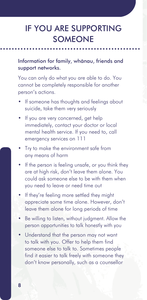### IF YOU ARE SUPPORTING **SOMEONE**

#### Information for family, whänau, friends and support networks.

You can only do what you are able to do. You cannot be completely responsible for another person's actions.

- If someone has thoughts and feelings about suicide, take them very seriously
- If you are very concerned, get help immediately, contact your doctor or local mental health service. If you need to, call emergency services on 111
- Try to make the environment safe from any means of harm
- If the person is feeling unsafe, or you think they are at high risk, don't leave them alone. You could ask someone else to be with them when you need to leave or need time out
- If they're feeling more settled they might appreciate some time alone. However, don't leave them alone for long periods of time
- Be willing to listen, without judament. Allow the person opportunities to talk honestly with you
- Understand that the person may not want to talk with you. Offer to help them find someone else to talk to. Sometimes people find it easier to talk freely with someone they don't know personally, such as a counsellor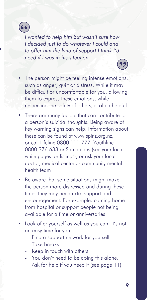

*I wanted to help him but wasn't sure how. I decided just to do whatever I could and to offer him the kind of support I think I'd need if I was in his situation.*

- The person might be feeling intense emotions, such as anger, guilt or distress. While it may be difficult or uncomfortable for you, allowing them to express these emotions, while respecting the safety of others, is often helpful
- There are many factors that can contribute to a person's suicidal thoughts. Being aware of key warning signs can help. Information about these can be found at www.spinz.org.nz, or call Lifeline 0800 111 777, Youthline 0800 376 633 or Samaritans (see your local white pages for listings), or ask your local doctor, medical centre or community mental health team
- Be aware that some situations might make the person more distressed and during these times they may need extra support and encouragement. For example: coming home from hospital or support people not being available for a time or anniversaries
- Look after yourself as well as you can. It's not an easy time for you.
	- Find a support network for yourself
	- Take breaks
	- Keep in touch with others
	- You don't need to be doing this alone. Ask for help if you need it (see page 11)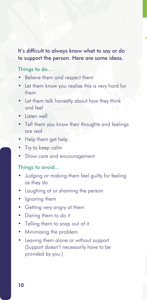### It's difficult to always know what to say or do to support the person. Here are some ideas.

#### Things to do...

- Believe them and respect them
- Let them know you realise this is very hard for them
- Let them talk honestly about how they think and feel
- Listen well
- Tell them you know their thoughts and feelings are real
- Help them get help
- Try to keep calm
- Show care and encouragement

#### Things to avoid...

- Judging or making them feel guilty for feeling as they do
- Laughing at or shaming the person
- Ignoring them
- Getting very angry at them
- Daring them to do it
- Telling them to snap out of it
- Minimising the problem
- Leaving them alone or without support (Support doesn't necessarily have to be provided by you.)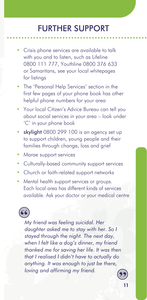### FURTHER SUPPORT

- Crisis phone services are available to talk with you and to listen, such as Lifeline 0800 111 777, Youthline 0800 376 633 or Samaritans, see your local whitepages for listings
- The 'Personal Help Services' section in the first few pages of your phone book has other helpful phone numbers for your area
- Your local Citizen's Advice Bureau can tell you about social services in your area – look under 'C' in your phone book
- skylight 0800 299 100 is an agency set up to support children, young people and their families through change, loss and grief
- Marae support services
- Culturally-based community support services
- Church or faith-related support networks
- Mental health support services or groups. Each local area has different kinds of services available. Ask your doctor or your medical centre

*My friend was feeling suicidal. Her daughter asked me to stay with her. So I stayed through the night. The next day, when I felt like a dog's dinner, my friend thanked me for saving her life. It was then that I realised I didn't have to actually do anything. It was enough to just be there, loving and affirming my friend.*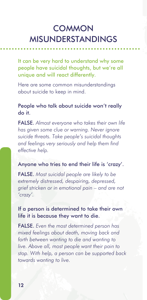### **COMMON** MISUNDERSTANDINGS

It can be very hard to understand why some people have suicidal thoughts, but we're all unique and will react differently.

Here are some common misunderstandings about suicide to keep in mind.

#### People who talk about suicide won't really do it.

FALSE. *Almost everyone who takes their own life has given some clue or warning. Never ignore suicide threats. Take people's suicidal thoughts and feelings very seriously and help them find effective help.*

#### Anyone who tries to end their life is 'crazy'.

FALSE. *Most suicidal people are likely to be extremely distressed, despairing, depressed, grief stricken or in emotional pain – and are not 'crazy'.*

### If a person is determined to take their own life it is because they want to die.

FALSE. *Even the most determined person has mixed feelings about death, moving back and forth between wanting to die and wanting to live. Above all, most people want their pain to stop. With help, a person can be supported back towards wanting to live.*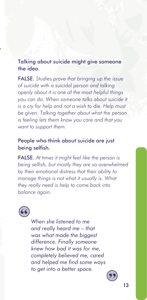### Talking about suicide might give someone the idea.

FALSE. *Studies prove that bringing up the issue of suicide with a suicidal person and talking openly about it is one of the most helpful things you can do. When someone talks about suicide it is a cry for help and not a wish to die. Help must be given. Talking together about what the person is feeling lets them know you care and that you want to support them.*

#### People who think about suicide are just being selfish.

FALSE. *At times it might feel like the person is being selfish, but mostly they are so overwhelmed by their emotional distress that their ability to manage things is not what it usually is. What they really need is help to come back into balance again.*



*When she listened to me and really heard me – that was what made the biggest difference. Finally someone knew how bad it was for me, completely believed me, cared and helped me fi nd some ways to get into a better space.*